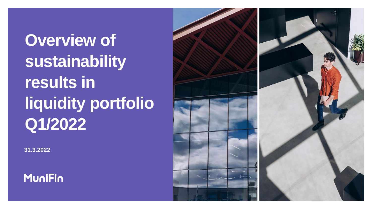**Overview of sustainability results in liquidity portfolio Q1/2022**

**31.3.2022**



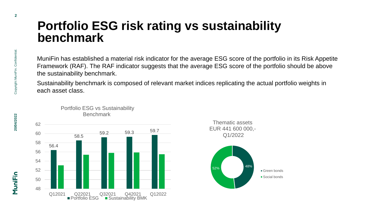## **Portfolio ESG risk rating vs sustainability benchmark**

MuniFin has established a material risk indicator for the average ESG score of the portfolio in its Risk Appetite Framework (RAF). The RAF indicator suggests that the average ESG score of the portfolio should be above the sustainability benchmark.

Sustainability benchmark is composed of relevant market indices replicating the actual portfolio weights in each asset class.



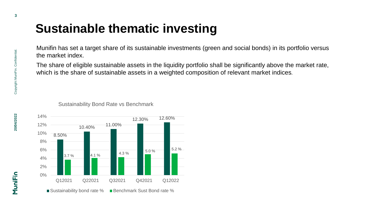## **Sustainable thematic investing**

Munifin has set a target share of its sustainable investments (green and social bonds) in its portfolio versus the market index.

The share of eligible sustainable assets in the liquidity portfolio shall be significantly above the market rate, which is the share of sustainable assets in a weighted composition of relevant market indices.

Sustainability Bond Rate vs Benchmark